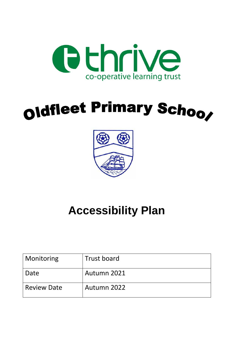

# oldfleet Primary Schoo,



### **Accessibility Plan**

| <b>Monitoring</b>  | <b>Trust board</b> |
|--------------------|--------------------|
| Date               | Autumn 2021        |
| <b>Review Date</b> | Autumn 2022        |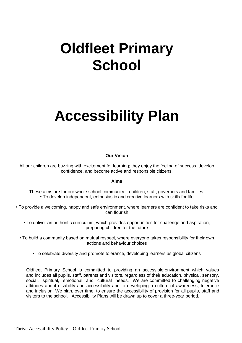### **Oldfleet Primary School**

## **Accessibility Plan**

#### **Our Vision**

All our children are buzzing with excitement for learning; they enjoy the feeling of success, develop confidence, and become active and responsible citizens.

#### **Aims**

These aims are for our whole school community – children, staff, governors and families: • To develop independent, enthusiastic and creative learners with skills for life

• To provide a welcoming, happy and safe environment, where learners are confident to take risks and can flourish

• To deliver an authentic curriculum, which provides opportunities for challenge and aspiration, preparing children for the future

• To build a community based on mutual respect, where everyone takes responsibility for their own actions and behaviour choices

• To celebrate diversity and promote tolerance, developing learners as global citizens

Oldfleet Primary School is committed to providing an accessible environment which values and includes all pupils, staff, parents and visitors, regardless of their education, physical, sensory, social, spiritual, emotional and cultural needs. We are committed to challenging negative attitudes about disability and accessibility and to developing a culture of awareness, tolerance and inclusion. We plan, over time, to ensure the accessibility of provision for all pupils, staff and visitors to the school. Accessibility Plans will be drawn up to cover a three-year period.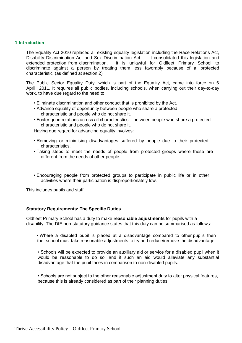#### **1 Introduction**

The Equality Act 2010 replaced all existing equality legislation including the Race Relations Act, Disability Discrimination Act and Sex Discrimination Act. It consolidated this legislation and extended protection from discrimination. It is unlawful for Oldfleet Primary School to discriminate against a person by treating them less favorably because of a 'protected characteristic' (as defined at section 2).

The Public Sector Equality Duty, which is part of the Equality Act, came into force on 6 April 2011. It requires all public bodies, including schools, when carrying out their day-to-day work, to have due regard to the need to:

- Eliminate discrimination and other conduct that is prohibited by the Act.
- Advance equality of opportunity between people who share a protected characteristic and people who do not share it.
- Foster good relations across all characteristics between people who share a protected characteristic and people who do not share it.

Having due regard for advancing equality involves:

- Removing or minimising disadvantages suffered by people due to their protected characteristics.
- Taking steps to meet the needs of people from protected groups where these are different from the needs of other people.
- Encouraging people from protected groups to participate in public life or in other activities where their participation is disproportionately low.

This includes pupils and staff.

#### **Statutory Requirements: The Specific Duties**

Oldfleet Primary School has a duty to make **reasonable adjustments** for pupils with a disability. The DfE non-statutory guidance states that this duty can be summarised as follows:

• Where a disabled pupil is placed at a disadvantage compared to other pupils then the school must take reasonable adjustments to try and reduce/remove the disadvantage.

• Schools will be expected to provide an auxiliary aid or service for a disabled pupil when it would be reasonable to do so, and if such an aid would alleviate any substantial disadvantage that the pupil faces in comparison to non-disabled pupils.

• Schools are not subject to the other reasonable adjustment duty to alter physical features, because this is already considered as part of their planning duties.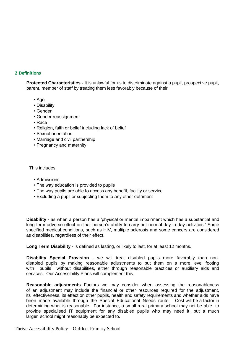#### **2 Definitions**

**Protected Characteristics -** It is unlawful for us to discriminate against a pupil, prospective pupil, parent, member of staff by treating them less favorably because of their

- Age
- Disability
- Gender
- Gender reassignment
- Race
- Religion, faith or belief including lack of belief
- Sexual orientation
- Marriage and civil partnership
- Pregnancy and maternity

This includes:

- Admissions
- The way education is provided to pupils
- The way pupils are able to access any benefit, facility or service
- Excluding a pupil or subjecting them to any other detriment

**Disability -** as when a person has a 'physical or mental impairment which has a substantial and long term adverse effect on that person's ability to carry out normal day to day activities.' Some specified medical conditions, such as HIV, multiple sclerosis and some cancers are considered as disabilities, regardless of their effect.

**Long Term Disability -** is defined as lasting, or likely to last, for at least 12 months.

**Disability Special Provision** - we will treat disabled pupils more favorably than nondisabled pupils by making reasonable adjustments to put them on a more level footing with pupils without disabilities, either through reasonable practices or auxiliary aids and services. Our Accessibility Plans will complement this.

**Reasonable adjustments** Factors we may consider when assessing the reasonableness of an adjustment may include the financial or other resources required for the adjustment, its effectiveness, its effect on other pupils, health and safety requirements and whether aids have been made available through the Special Educational Needs route. Cost will be a factor in determining what is reasonable. For instance, a small rural primary school may not be able to provide specialised IT equipment for any disabled pupils who may need it, but a much larger school might reasonably be expected to.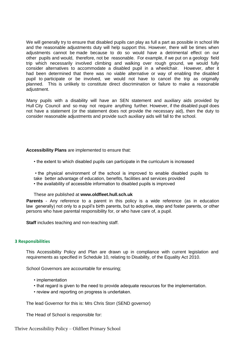We will generally try to ensure that disabled pupils can play as full a part as possible in school life and the reasonable adjustments duty will help support this. However, there will be times when adjustments cannot be made because to do so would have a detrimental effect on our other pupils and would, therefore, not be reasonable. For example, if we put on a geology field trip which necessarily involved climbing and walking over rough ground, we would fully consider alternatives to accommodate a disabled pupil in a wheelchair. However, after it had been determined that there was no viable alternative or way of enabling the disabled pupil to participate or be involved, we would not have to cancel the trip as originally planned. This is unlikely to constitute direct discrimination or failure to make a reasonable adiustment.

Many pupils with a disability will have an SEN statement and auxiliary aids provided by Hull City Council and so may not require anything further. However, if the disabled pupil does not have a statement (or the statement does not provide the necessary aid), then the duty to consider reasonable adjustments and provide such auxiliary aids will fall to the school.

#### **Accessibility Plans** are implemented to ensure that:

- the extent to which disabled pupils can participate in the curriculum is increased
- the physical environment of the school is improved to enable disabled pupils to
- take better advantage of education, benefits, facilities and services provided
- the availability of accessible information to disabled pupils is improved
- These are published at **www.oldfleet.hull.sch.uk**

**Parents** - Any reference to a parent in this policy is a wide reference (as in education law generally) not only to a pupil's birth parents, but to adoptive, step and foster parents, or other persons who have parental responsibility for, or who have care of, a pupil.

**Staff** includes teaching and non-teaching staff.

#### **3 Responsibilities**

This Accessibility Policy and Plan are drawn up in compliance with current legislation and requirements as specified in Schedule 10, relating to Disability, of the Equality Act 2010.

School Governors are accountable for ensuring;

- implementation
- that regard is given to the need to provide adequate resources for the implementation.
- review and reporting on progress is undertaken.

The lead Governor for this is: Mrs Chris Storr (SEND governor)

The Head of School is responsible for: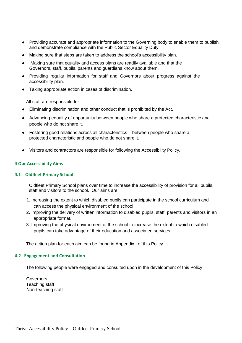- Providing accurate and appropriate information to the Governing body to enable them to publish and demonstrate compliance with the Public Sector Equality Duty.
- Making sure that steps are taken to address the school's accessibility plan.
- Making sure that equality and access plans are readily available and that the Governors, staff, pupils, parents and guardians know about them.
- Providing regular information for staff and Governors about progress against the accessibility plan.
- Taking appropriate action in cases of discrimination.

All staff are responsible for:

- Eliminating discrimination and other conduct that is prohibited by the Act.
- Advancing equality of opportunity between people who share a protected characteristic and people who do not share it.
- Fostering good relations across all characteristics between people who share a protected characteristic and people who do not share it.
- Visitors and contractors are responsible for following the Accessibility Policy.

#### **4 Our Accessibility Aims**

#### **4.1 Oldfleet Primary School**

Oldfleet Primary School plans over time to increase the accessibility of provision for all pupils, staff and visitors to the school. Our aims are:

- 1. Increasing the extent to which disabled pupils can participate in the school curriculum and can access the physical environment of the school
- 2. Improving the delivery of written information to disabled pupils, staff, parents and visitors in an appropriate format.
- 3. Improving the physical environment of the school to increase the extent to which disabled pupils can take advantage of their education and associated services

The action plan for each aim can be found in Appendix I of this Policy

#### **4.2 Engagement and Consultation**

The following people were engaged and consulted upon in the development of this Policy

**Governors** Teaching staff Non-teaching staff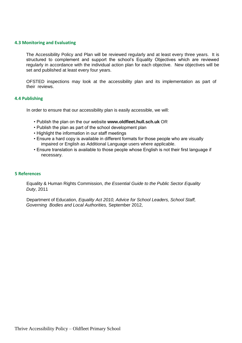#### **4.3 Monitoring and Evaluating**

The Accessibility Policy and Plan will be reviewed regularly and at least every three years. It is structured to complement and support the school's Equality Objectives which are reviewed regularly in accordance with the individual action plan for each objective. New objectives will be set and published at least every four years.

OFSTED inspections may look at the accessibility plan and its implementation as part of their reviews.

#### **4.4 Publishing**

In order to ensure that our accessibility plan is easily accessible, we will:

- Publish the plan on the our website **www.oldfleet.hull.sch.uk** OR
- Publish the plan as part of the school development plan
- Highlight the information in our staff meetings
- Ensure a hard copy is available in different formats for those people who are visually impaired or English as Additional Language users where applicable.
- Ensure translation is available to those people whose English is not their first language if necessary.

#### **5 References**

Equality & Human Rights Commission, *the Essential Guide to the Public Sector Equality Duty*, 2011

Department of Education, *Equality Act 2010, Advice for School Leaders, School Staff, Governing Bodies and Local Authorities,* September 2012,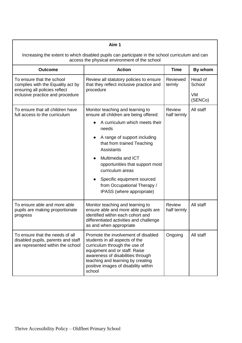| Aim 1                                                                                                                                            |                                                                                                                                                                                                                                                                                                                                                                                 |                              |                                           |  |
|--------------------------------------------------------------------------------------------------------------------------------------------------|---------------------------------------------------------------------------------------------------------------------------------------------------------------------------------------------------------------------------------------------------------------------------------------------------------------------------------------------------------------------------------|------------------------------|-------------------------------------------|--|
| Increasing the extent to which disabled pupils can participate in the school curriculum and can<br>access the physical environment of the school |                                                                                                                                                                                                                                                                                                                                                                                 |                              |                                           |  |
| <b>Outcome</b>                                                                                                                                   | <b>Action</b>                                                                                                                                                                                                                                                                                                                                                                   | <b>Time</b>                  | By whom                                   |  |
| To ensure that the school<br>complies with the Equality act by<br>ensuring all policies reflect<br>inclusive practice and procedure              | Review all statutory policies to ensure<br>that they reflect inclusive practice and<br>procedure                                                                                                                                                                                                                                                                                | Reviewed<br>termly           | Head of<br>School<br><b>VM</b><br>(SENCo) |  |
| To ensure that all children have<br>full access to the curriculum                                                                                | Monitor teaching and learning to<br>ensure all children are being offered:<br>A curriculum which meets their<br>needs<br>A range of support including<br>that from trained Teaching<br><b>Assistants</b><br>Multimedia and ICT<br>opportunities that support most<br>curriculum areas<br>Specific equipment sourced<br>from Occupational Therapy /<br>IPASS (where appropriate) | <b>Review</b><br>half termly | All staff                                 |  |
| To ensure able and more able<br>pupils are making proportionate<br>progress                                                                      | Monitor teaching and learning to<br>ensure able and more able pupils are<br>identified within each cohort and<br>differentiated activities and challenge<br>as and when appropriate                                                                                                                                                                                             | <b>Review</b><br>half termly | All staff                                 |  |
| To ensure that the needs of all<br>disabled pupils, parents and staff<br>are represented within the school                                       | Promote the involvement of disabled<br>students in all aspects of the<br>curriculum through the use of<br>equipment and or staff. Raise<br>awareness of disabilities through<br>teaching and learning by creating<br>positive images of disability within<br>school                                                                                                             | Ongoing                      | All staff                                 |  |

**T**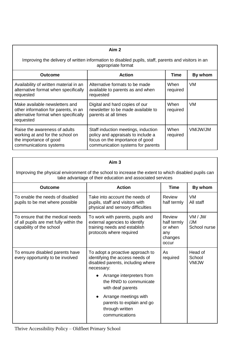| Aim 2                                                                                                                       |                                                                                                                                                   |                  |         |  |  |  |
|-----------------------------------------------------------------------------------------------------------------------------|---------------------------------------------------------------------------------------------------------------------------------------------------|------------------|---------|--|--|--|
| Improving the delivery of written information to disabled pupils, staff, parents and visitors in an<br>appropriate format   |                                                                                                                                                   |                  |         |  |  |  |
| <b>Outcome</b>                                                                                                              | <b>Action</b>                                                                                                                                     | Time             | By whom |  |  |  |
| Availability of written material in an<br>alternative format when specifically<br>requested                                 | Alternative formats to be made<br>available to parents as and when<br>requested                                                                   | When<br>required | VM.     |  |  |  |
| Make available newsletters and<br>other information for parents, in an<br>alternative format when specifically<br>requested | Digital and hard copies of our<br>newsletter to be made available to<br>parents at all times                                                      | When<br>required | VM.     |  |  |  |
| Raise the awareness of adults<br>working at and for the school on<br>the importance of good<br>communications systems       | Staff induction meetings, induction<br>policy and appraisals to include a<br>focus on the importance of good<br>communication systems for parents | When<br>required | MUWUMV  |  |  |  |

| ı | ım<br>ı |  |
|---|---------|--|
|   |         |  |

Improving the physical environment of the school to increase the extent to which disabled pupils can take advantage of their education and associated services

| <b>Outcome</b>                                                                                         | <b>Action</b>                                                                                                                                                                                                                                                                                  | <b>Time</b>                                                        | By whom                        |
|--------------------------------------------------------------------------------------------------------|------------------------------------------------------------------------------------------------------------------------------------------------------------------------------------------------------------------------------------------------------------------------------------------------|--------------------------------------------------------------------|--------------------------------|
| To enable the needs of disabled<br>pupils to be met where possible                                     | Take into account the needs of<br>pupils, staff and visitors with<br>physical and sensory difficulties                                                                                                                                                                                         | Review<br>half termly                                              | <b>VM</b><br>All staff         |
| To ensure that the medical needs<br>of all pupils are met fully within the<br>capability of the school | To work with parents, pupils and<br>external agencies to identify<br>training needs and establish<br>protocols where required                                                                                                                                                                  | <b>Review</b><br>half termly<br>or when<br>any<br>changes<br>occur | VM / JW<br>/JM<br>School nurse |
| To ensure disabled parents have<br>every opportunity to be involved                                    | To adopt a proactive approach to<br>identifying the access needs of<br>disabled parents, including where<br>necessary:<br>Arrange interpreters from<br>the RNID to communicate<br>with deaf parents<br>Arrange meetings with<br>parents to explain and go<br>through written<br>communications | As<br>required                                                     | Head of<br>School<br>VM/JW     |